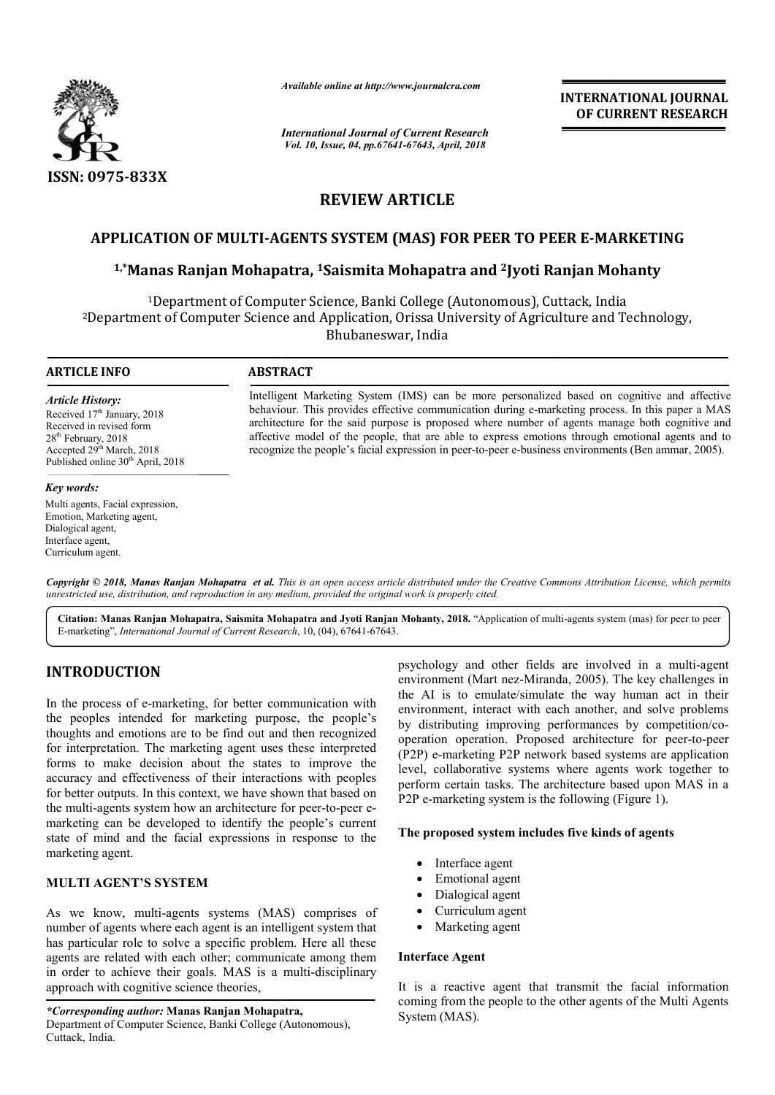

*Available online at http://www.journalcra.com*

*International Journal of Current Research Vol. 10, Issue, 04, pp.67641-67643, April, 2018*

**INTERNATIONAL JOURNAL OF CURRENT RESEARCH**

# **REVIEW ARTICLE**

# APPLICATION OF MULTI-AGENTS SYSTEM (MAS) FOR PEER TO PEER E-MARKETING<br><sup>1,\*</sup>Manas Ranjan Mohapatra, <sup>1</sup>Saismita Mohapatra and <sup>2</sup>Jyoti Ranjan Mohanty <sup>1,</sup>\*Manas Ranjan Mohapatra, <sup>1</sup>Saismita Mohapatra and <sup>2</sup>Jyoti

<sup>1</sup>Department of Computer Science, Banki College (Autonomous), Cuttack, India <sup>2</sup>Department of Computer Science and Application, Orissa University of Agriculture and Technology, Bhubaneswar, India

#### **ARTICLE INFO ABSTRACT**

#### *Article History:*

Received 17<sup>th</sup> January, 2018 Received in revised form 28<sup>th</sup> February, 2018 Accepted 29<sup>th</sup> March, 2018 Published online 30<sup>th</sup> April, 2018

#### *Key words:*

Multi agents, Facial expression, Emotion, Marketing agent, Dialogical agent, Interface agent, Curriculum agent.

Intelligent Marketing System (IMS) can be more personalized based on cognitive and affective behaviour. This provides effective communication during e-marketing process. In this paper a MAS architecture for the said purpose is proposed where number of agents manage both cognitive and affective model of the people, that are able to express emotions through emotional agents and to recognize the people's facial expression in peer-to-peer e-business environments Intelligent Marketing System (IMS) can be more personalized based on cognitive and affective behaviour. This provides effective communication during e-marketing process. In this paper a MA architecture for the said purpose

Copyright © 2018, Manas Ranjan Mohapatra et al. This is an open access article distributed under the Creative Commons Attribution License, which permits *unrestricted use, distribution, and reproduction in any medium, provided the original work is properly cited.*

Citation: Manas Ranjan Mohapatra, Saismita Mohapatra and Jyoti Ranjan Mohanty, 2018. "Application of multi-agents system (mas) for peer to peer E-marketing", *International Journal of Current Research* , 10, (04), 67641-67643.

## **INTRODUCTION**

In the process of e-marketing, for better communication with the peoples intended for marketing purpose, the people's thoughts and emotions are to be find out and then recognized for interpretation. The marketing agent uses these interpreted forms to make decision about the states to improve the accuracy and effectiveness of their interactions with peoples for better outputs. In this context, we have shown that based on the multi-agents system how an architecture for peer-to-peer emarketing can be developed to identify the people's current state of mind and the facial expressions in response to the marketing agent. best of e-marketing, for better communication with<br>les intended for marketing purpose, the people's<br>and emotions are to be find out and then recognized<br>retation. The marketing agent uses these interpreted<br>make decision abo

### **MULTI AGENT'S SYSTEM**

As we know, multi-agents systems (MAS) comprises of number of agents where each agent is an intelligent system that has particular role to solve a specific problem. Here all these agents are related with each other; communicate among them in order to achieve their goals. MAS is a multi-disciplinary approach with cognitive science theories, e developed to identify the people's current<br>d the facial expressions in response to the<br>"S SYSTEM<br>multi-agents systems (MAS) comprises of<br>where each agent is an intelligent system that<br>e to solve a specific problem. Here

*\*Corresponding author:* **Manas Ranjan Mohapatra,** Department of Computer Science, Banki College (Autonomous), Cuttack, India.

psychology and other fields are involved in a multi-agent environment (Mart nez-Miranda, 2005). The key challenges in the AI is to emulate/simulate the way human act in their environment, interact with each another, and solve problems by distributing improving performances by competition/cooperation operation. Proposed architecture for peer-to-peer (P2P) e-marketing P2P network based systems are application level, collaborative systems where agents work together to perform certain tasks. The architecture based upon MAS in a P2P e-marketing system is the following (Figure 1). the AI is to emulate/simulate the way human act in their environment, interact with each another, and solve problems by distributing improving performances by competition/comarketing P2P network based systems are application<br>Illaborative systems where agents work together to<br>certain tasks. The architecture based upon MAS in a **EXERVATIONAL JOURNAL FORMAL CONFORMED CONFORMED CONFORMED (Corrent Research Corrent Facence)**<br> **Corrent Research**<br> **Corrent Research**<br> **RTICLE**<br> **RTICLE**<br> **Conformalization and 3 Pyoti Ranjan Mohamitry to Agent Conformal** 

### **The proposed system includes five kinds of agents m includes**

- Interface agent
- Emotional agent
- Dialogical agent
- Curriculum agent
- Marketing agent

#### **Interface Agent**

It is a reactive agent that transmit the facial information coming from the people to the other agents of the Multi Agents System (MAS).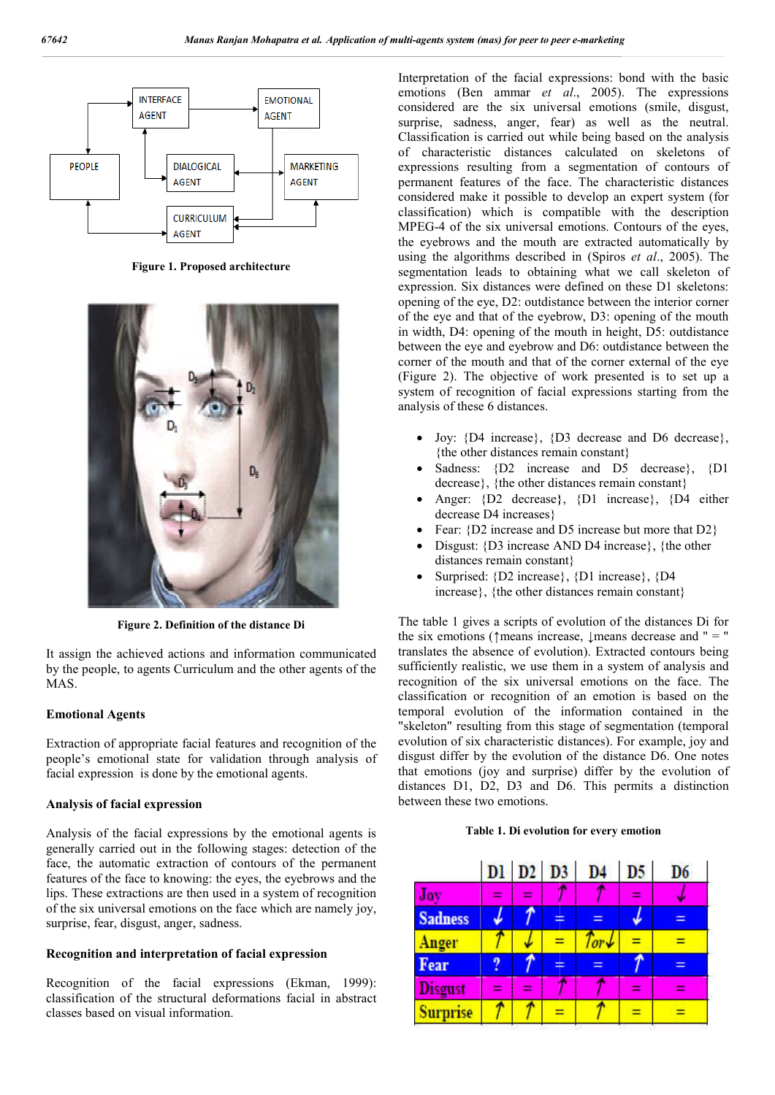

**Figure 1. Proposed architecture**



**Figure 2. Definition of the distance Di**

It assign the achieved actions and information communicated by the people, to agents Curriculum and the other agents of the MAS.

#### **Emotional Agents**

Extraction of appropriate facial features and recognition of the people's emotional state for validation through analysis of facial expression is done by the emotional agents.

### **Analysis of facial expression**

Analysis of the facial expressions by the emotional agents is generally carried out in the following stages: detection of the face, the automatic extraction of contours of the permanent features of the face to knowing: the eyes, the eyebrows and the lips. These extractions are then used in a system of recognition of the six universal emotions on the face which are namely joy, surprise, fear, disgust, anger, sadness. features of the face to knowing: the eyes, the eyebrows and the lips. These extractions are then used in a system of recognition of the six universal emotions on the face which are namely joy, surprise, fear, disgust, ange

#### **Recognition and interpretation of facial expression**

classification of the structural deformations facial in abstract classes based on visual information.

Interpretation of the facial expressions: bond with the basic emotions (Ben ammar *et al.*, 2005). The expressions considered are the six universal emotions (smile, disgust, surprise, sadness, anger, fear) as well as the neutral. Classification is carried out while being based on the analysis of characteristic distances expressions resulting from a segmentation of contours of permanent features of the face. The characteristic distances considered make it possible to develop an expert system (for expressions resulting from a segmentation of contours of permanent features of the face. The characteristic distances considered make it possible to develop an expert system (for classification) which is compatible with th MPEG-4 of the six universal emotions. Contours of the eyes, the eyebrows and the mouth are extracted automatically by MPEG-4 of the six universal emotions. Contours of the eyes, the eyebrows and the mouth are extracted automatically by using the algorithms described in (Spiros *et al.*, 2005). The segmentation leads to obtaining what we call skeleton of expression. Six distances were defined on these D1 skeletons: opening of the eye, D2: outdistance between the interior corner of the eye and that of the eyebrow, D3: opening of the mouth in width, D4: opening of the mouth in height, D5: outdistance between the eye and eyebrow and D6: outdistance between the corner of the mouth and that of the corner external of the eye (Figure 2). The objective of work presented is to set up a system of recognition of facial expressions starting from the analysis of these 6 distances. considered are the six universal emotions (smile, disgust, surprise, sadness, anger, fear) as well as the neutral.<br>Classification is carried out while being based on the analysis of characteristic distances calculated on s ntation leads to obtaining what we call skeleton of<br>sion. Six distances were defined on these D1 skeletons:<br>g of the eye, D2: outdistance between the interior corner<br>eye and that of the eyebrow, D3: opening of the mouth<br>th **agents system (mas)** for peer to peer e-marketing<br>crpretation of the facial expressions: bond with the bosoisidered are the six universal emotions (SME). The expression<br>sidered are the six universal emotions (smile, disgu

- Joy: {D4 increase}, {D3 decrease and D6 decrease}, {the other distances remain constant}
- Sadness: {D2 increase and D5 decrease}, {D1 decrease}, {the other distances remain constant}
- Anger: {D2 decrease}, {D1 increase}, {D4 either decrease D4 increases}
- Fear: {D2 increase and D5 increase but more that D2}
- Disgust:  $\{D3 \text{ increase AND D4 increase} \}$ ,  $\{the other$ distances remain constant}
- Surprised: {D2 increase}, {D1 increase}, {D4 increase}, {the other distances remain constant}

The table 1 gives a scripts of evolution of the distances Di for the six emotions ( $\uparrow$ means increase,  $\downarrow$ means decrease and " = " translates the absence of evolution). Extracted contours being sufficiently realistic, we use them in a system of analysis and recognition of the six universal emotions on the face. The classification or recognition of an emotion is based on the temporal evolution of the information contained in the "skeleton" resulting from this stage of segmentation (temporal classification or recognition of an emotion is based on the temporal evolution of the information contained in the "skeleton" resulting from this stage of segmentation (temporal evolution of six characteristic distances). disgust differ by the evolution of the distance D6. One notes that emotions (joy and surprise) differ by the evolution of distances D1, D2, D3 and D6. This permits a distinction between these two emotions.  $\uparrow$ means increase,  $\downarrow$ means decrease and " = "<br>ence of evolution). Extracted contours being<br>ic, we use them in a system of analysis and<br>e six universal emotions on the face. The

#### **Table 1. Di evolution for every emotion**